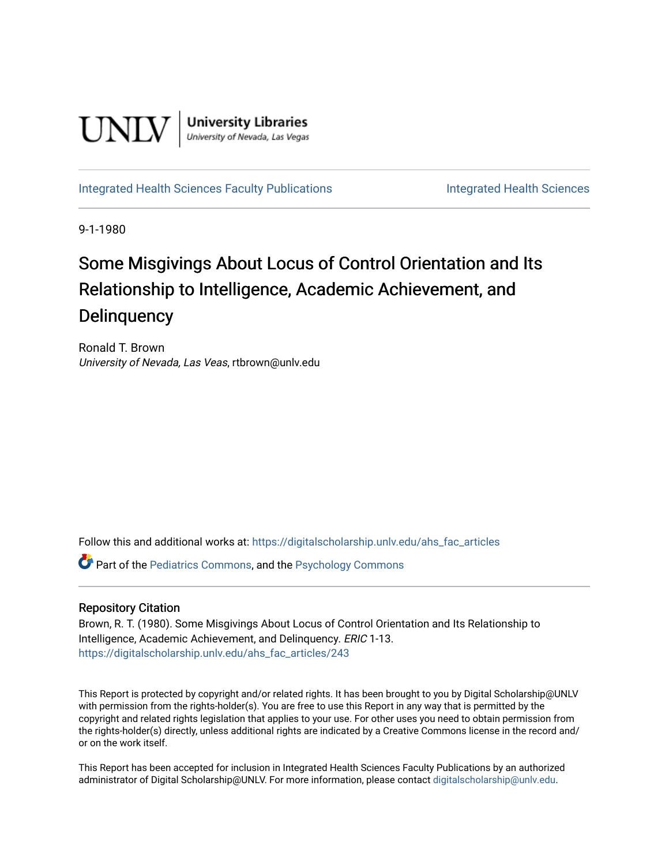

**University Libraries**<br>University of Nevada, Las Vegas

[Integrated Health Sciences Faculty Publications](https://digitalscholarship.unlv.edu/ahs_fac_articles) **Integrated Health Sciences** 

9-1-1980

# Some Misgivings About Locus of Control Orientation and Its Relationship to Intelligence, Academic Achievement, and **Delinquency**

Ronald T. Brown University of Nevada, Las Veas, rtbrown@unlv.edu

Follow this and additional works at: [https://digitalscholarship.unlv.edu/ahs\\_fac\\_articles](https://digitalscholarship.unlv.edu/ahs_fac_articles?utm_source=digitalscholarship.unlv.edu%2Fahs_fac_articles%2F243&utm_medium=PDF&utm_campaign=PDFCoverPages) 

Part of the [Pediatrics Commons](http://network.bepress.com/hgg/discipline/700?utm_source=digitalscholarship.unlv.edu%2Fahs_fac_articles%2F243&utm_medium=PDF&utm_campaign=PDFCoverPages), and the [Psychology Commons](http://network.bepress.com/hgg/discipline/404?utm_source=digitalscholarship.unlv.edu%2Fahs_fac_articles%2F243&utm_medium=PDF&utm_campaign=PDFCoverPages) 

# Repository Citation

Brown, R. T. (1980). Some Misgivings About Locus of Control Orientation and Its Relationship to Intelligence, Academic Achievement, and Delinquency. ERIC 1-13. [https://digitalscholarship.unlv.edu/ahs\\_fac\\_articles/243](https://digitalscholarship.unlv.edu/ahs_fac_articles/243) 

This Report is protected by copyright and/or related rights. It has been brought to you by Digital Scholarship@UNLV with permission from the rights-holder(s). You are free to use this Report in any way that is permitted by the copyright and related rights legislation that applies to your use. For other uses you need to obtain permission from the rights-holder(s) directly, unless additional rights are indicated by a Creative Commons license in the record and/ or on the work itself.

This Report has been accepted for inclusion in Integrated Health Sciences Faculty Publications by an authorized administrator of Digital Scholarship@UNLV. For more information, please contact [digitalscholarship@unlv.edu.](mailto:digitalscholarship@unlv.edu)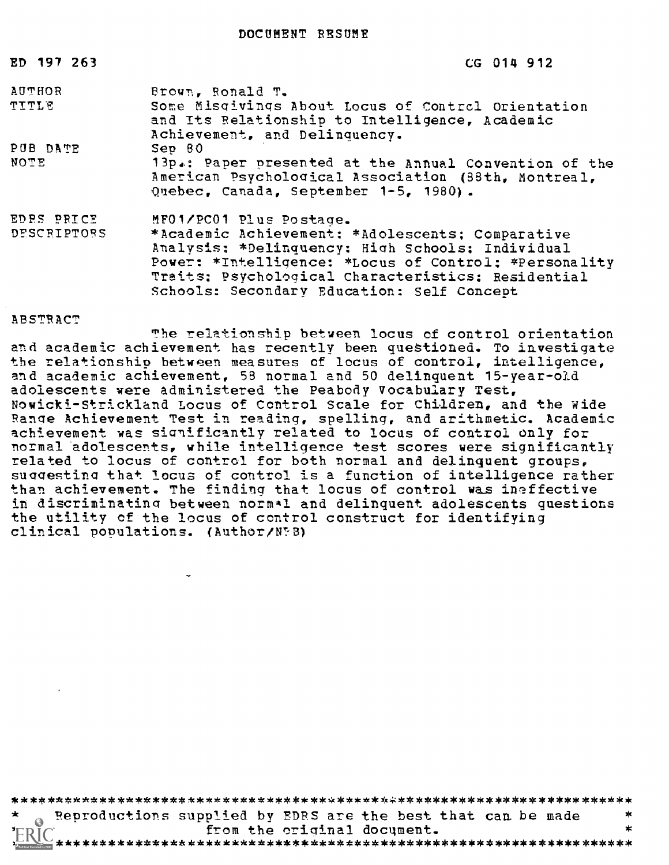| ED 197 263    | CG 014 912                                                                                                                                                                                                          |
|---------------|---------------------------------------------------------------------------------------------------------------------------------------------------------------------------------------------------------------------|
| <b>AUTHOR</b> | Brown, Ronald T.                                                                                                                                                                                                    |
| <b>TITLE</b>  | Some Misqivings About Locus of Control Orientation<br>and Its Relationship to Intelligence, Academic<br>Achievement, and Delinquency.                                                                               |
| PUB DATE      | Sep 80                                                                                                                                                                                                              |
| NOTE          | 13p.: Paper presented at the Annual Convention of the<br>American Psychological Association (38th, Montreal,<br>Quebec, Canada, September 1-5, 1980).                                                               |
| EDRS PRICE    | MF01/PC01 Plus Postage.                                                                                                                                                                                             |
| DESCRIPTORS   | *Academic Achievement: *Adolescents; Comparative<br>Analysis: *Delinquency: High Schools; Individual<br>Power: *Intelligence: *Locus of Control; *Personality<br>Traits; Psychological Characteristics; Residential |

#### ABSTRACT

The relationship between locus of control orientation and academic achievement has recently been questioned. To investigate the relationship between measures of locus of control, intelligence, and academic achievement, 58 normal and 50 delinquent 15-year-old adolescents were administered the Peabody Vocabulary Test, Nowicki-Strickland Locus of Control Scale for Children, and the Wide Range Achievement Test in reading, spelling, and arithmetic. Academic achievement was sianificantly related to locus of control only for normal adolescents, while intelligence test scores were significantly related to locus of control for both normal and delinquent groups, suggesting that locus of control is a function of intelligence rather than achievement. The finding that locus of control was ineffective in discriminating between norm\*l and delinquent adolescents questions the utility of the locus of control construct for identifying clinical populations. (Author/V:8)

Schools: Secondary Education: Self Concept

\*\*\*\*\*\*\*\*\*\*\*\*\*\*\*\*\*\*\*\*\*\*\*\*\*\*\*\*\*\*\*\*\*\*\*\*\*\*\*\*\*\*\*\*\*\*\*\*\*\*\*\*\*\*\*\*\*\*\*\*\*\*\*\*\*\*\*\*\*\*

Reproductions supplied by EDRS are the best that can be made  $*$ from the original document.

\*\*\*\*\*\*\*\*\*\*\*\*\*\*\*\*\*\*\*\*\*\*\*\*\*\*\*\*\*\*\*\*\*\*\*\*\*\*\*\*\*\*\*\*\*\*\*\*\*\*\*\*\*\*\*\*\*\*\*\*\*\*\*\*\*\*\*\*\*\*\*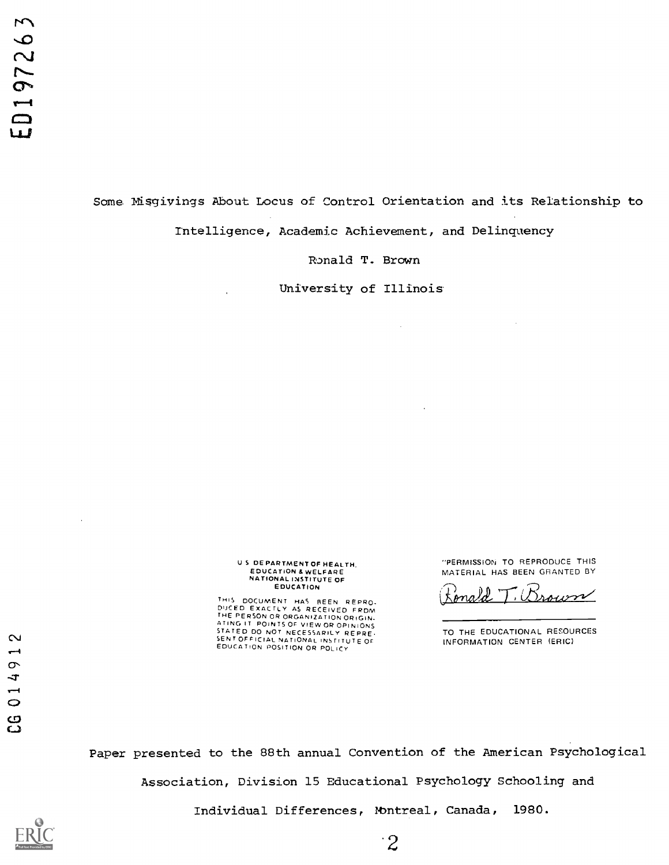Some Misgivings About Locus of Control Orientation and its Relationship to Intelligence, Academic Achievement, and Delinquency

Ronald T. Brown

University of Illinois

 $\bar{\tau}$ 

 $\ddot{\phantom{a}}$ 

# U S DEPARTMENT OF HEALTH. EDUCATION & WELFARE NATIONAL INSTITUTE OF EDUCATION

THIS DOCUMENT HAS BEEN REPRO-<br>DUCED EXACTLY AS RECEIVED FRDM<br>THE PERSON OR ORGANIZATION ORIGIN-<br>ATING IT POINTS OF VIEW OR OPINIONS<br>STATED DO NOT NECESSARILY REPRE-CV SENT OFFICIAL NATIONAL INSTITUTE OF SENT OF POLICY INSTITUTE OF SENT OF POLICY INSTITUTE OF

"PERMISSION TO REPRODUCE THIS MATERIAL HAS BEEN GRANTED BY

Brown ona

TO THE EDUCATIONAL RESOURCES INFORMATION CENTER (ERIC)

Paper presented to the 88th annual Convention of the American Psychological

Association, Division 15 Educational Psychology Schooling and

Individual Differences, Nbntreal, Canada, 1980.



 $\ddot{\phantom{1}}$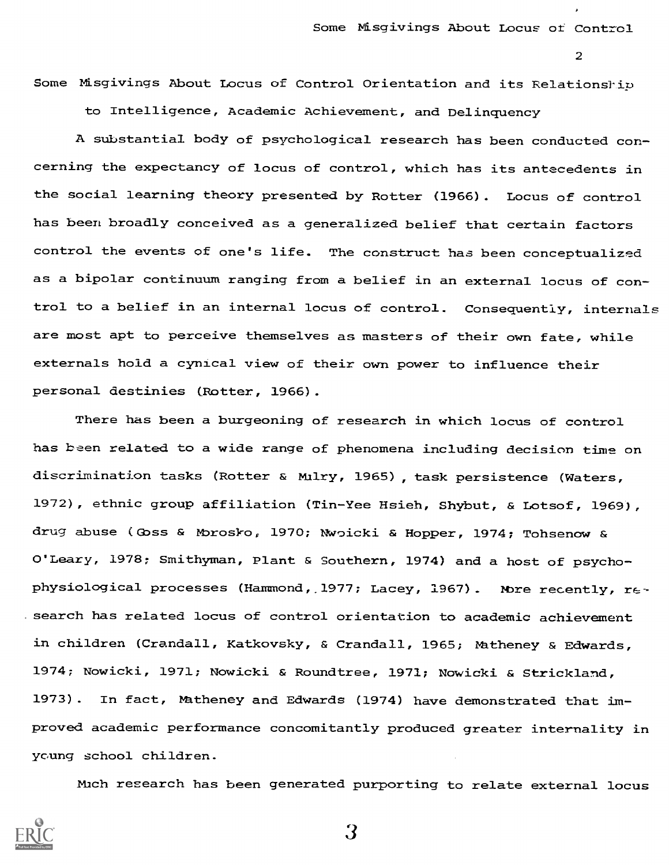Some Misgivings About Locus of Control Orientation and its Relationship to Intelligence, Academic Achievement, and Delinquency

A substantial body of psychological research has been conducted concerning the expectancy of locus of control, which has its antecedents in the social learning theory presented by Rotter (1966). Locus of control has been broadly conceived as a generalized belief that certain factors control the events of one's life. The construct has been conceptualized as a bipolar continuum ranging from a belief in an external locus of control to a belief in an internal locus of control. Consequently, internals are most apt to perceive themselves as masters of their own fate, while externals hold a cynical view of their own power to influence their personal destinies (Rotter, 1966).

There has been a burgeoning of research in which locus of control has been related to a wide range of phenomena including decision time on discrimination tasks ( Rotter & Miry, 1965) , task persistence (Waters, 1972), ethnic group affiliation (Tin-Yee Hsieh, Shybut, & Lotsof, 1969), drug abuse (ass & Nbrosko, 1970; Nowicki & Hopper, 1974; Tohsenow & O'Leary, 1978; Smithyman, Plant & Southern, 1974) and a host of psychophysiological processes (Hammond, 1977; Lacey, 1967). More recently,  $r \epsilon$ search has related locus of control orientation to academic achievement in children (Crandall, Katkovsky, & Crandall, 1965; Matheney & Edwards, 1974; Nowicki, 1971; Nowicki & Roundtree, 1971; Nowicki & Strickland, 1973). In fact, Hatheney and Edwards (1974) have demonstrated that improved academic performance concomitantly produced greater internality in young school children.

Mich research has been generated purporting to relate external locus

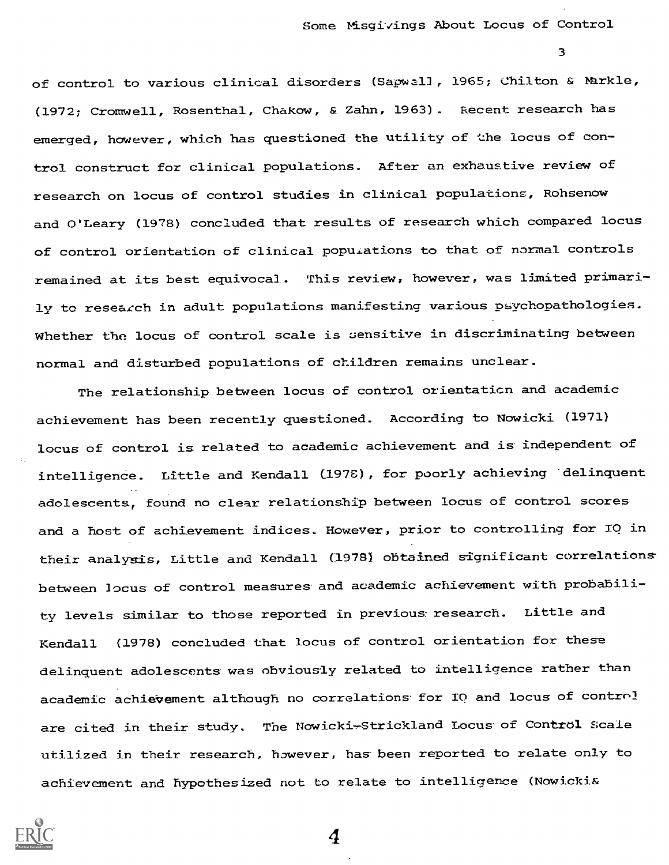Some Misgivings About Locus of Control

3

of control to various clinical disorders (Sapwall, 1965; Chilton & Markle, (1972; Cromwell, Rosenthal, Chakow, & Zahn, 1963). Recent research has emerged, however, which has questioned the utility of the locus of control construct for clinical populations. After an exhaustive review of research on locus of control studies in clinical populations, Rohsenow and O'Leary (1978) concluded that results of research which compared locus of control orientation of clinical populations to that of normal controls remained at its best equivocal. This review, however, was limited primarily to research in adult populations manifesting various psychopathologies. Whether the locus of control scale is sensitive in discriminating between normal and disturbed populations of children remains unclear.

The relationship between locus of control orientation and academic achievement has been recently questioned. According to Nowicki (1971) locus of control is related to academic achievement and is independent of intelligence. Little and Kendall (1976), for poorly achieving 'delinquent adolescents, found no clear relationship between locus of control scores and a host of achievement indices. However, prior to controlling for TO in their analysis, Little and Kendall (1978) obtained significant correlations between locus of control measures and academic achievement with probability levels similar to those reported in previous research. Little and Kendall (1978) concluded that locus of control orientation for these delinquent adolescents was obviously related to intelligence rather than academic achievement although no correlations for IQ and locus of control are cited in their study. The Nowicki-Strickland Locus of Control Scale utilized in their research, however, has-been reported to relate only to achievement and hypothesized not to relate to intelligence (Nowicki&

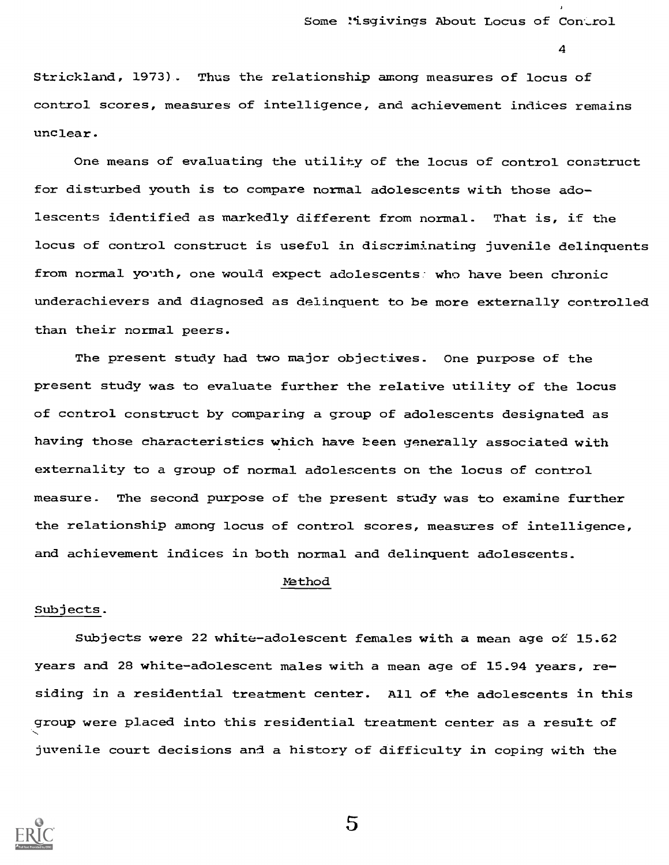Strickland, 1973) . Thus the relationship among measures of locus of control scores, measures of intelligence, and achievement indices remains unclear.

One means of evaluating the utility of the locus of control construct for disturbed youth is to compare normal adolescents with those adolescents identified as markedly different from normal. That is, if the locus of control construct is useful in discriminating juvenile delinquents from normal youth, one would expect adolescents: who have been chronic underachievers and diagnosed as delinquent to be more externally controlled than their normal peers.

The present study had two major objectives. One purpose of the present study was to evaluate further the relative utility of the locus of control construct by comparing a group of adolescents designated as having those characteristics which have been generally associated with externality to a group of normal adolescents on the locus of control measure. The second purpose of the present study was to examine further the relationship among locus of control scores, measures of intelligence, and achievement indices in both normal and delinquent adolescents.

#### Method

## Subjects.

Subjects were 22 white-adolescent females with a mean age of 15.62 years and 28 white-adolescent males with a mean age of 15.94 years, residing in a residential treatment center. All of the adolescents in this group were placed into this residential treatment center as a result of juvenile court decisions and a history of difficulty in coping with the

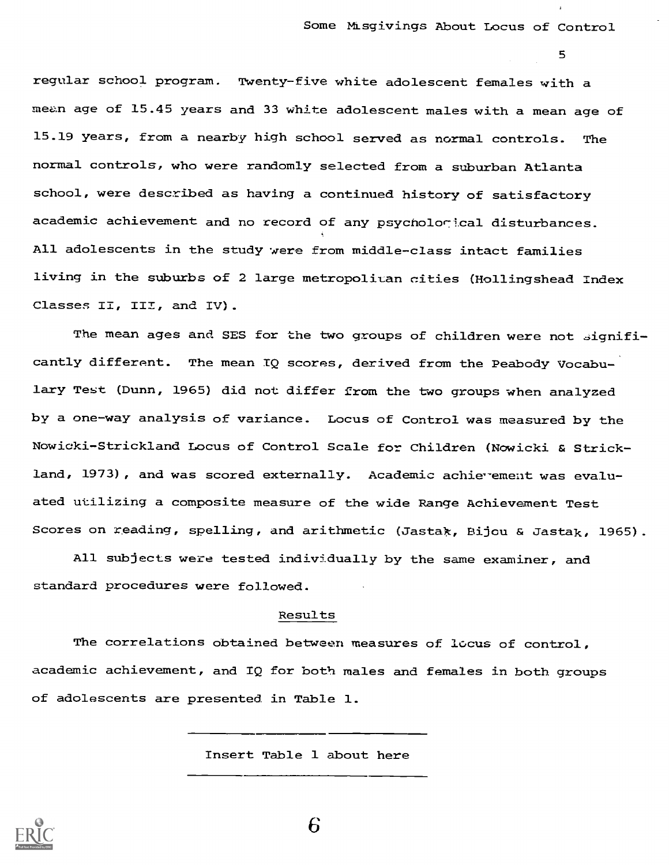regular school program. Twenty-five white adolescent females with a mean age of 15.45 years and 33 white adolescent males with a mean age of 15.19 years, from a nearby high school served as normal controls. The normal controls, who were randomly selected from a suburban Atlanta school, were described as having a continued history of satisfactory academic achievement and no record of any psycholorical disturbances. All adolescents in the study were from middle-class intact families living in the suburbs of 2 large metropolitan cities (Hollingshead Index Classes II, III, and IV).

The mean ages and SES for the two groups of children were not significantly different. The mean IQ scores, derived from the Peabody Vocabulary Test (Dunn, 1965) did not differ from the two groups when analyzed by a one-way analysis of variance. Locus of Control was measured by the Nowicki- Strickland Locus of Control Scale for Children (Nowicki & Strickland, 1973), and was scored externally. Academic achievement was evaluated utilizing a composite measure of the wide Range Achievement Test Scores on reading, spelling, and arithmetic (Jastak, Bijou & Jastak, 1965).

All subjects were tested individually by the same examiner, and standard procedures were followed.

#### Results

The correlations obtained between measures of locus of control, academic achievement, and IQ for both males and females in both groups of adolescents are presented in Table 1.

Insert Table 1 about here

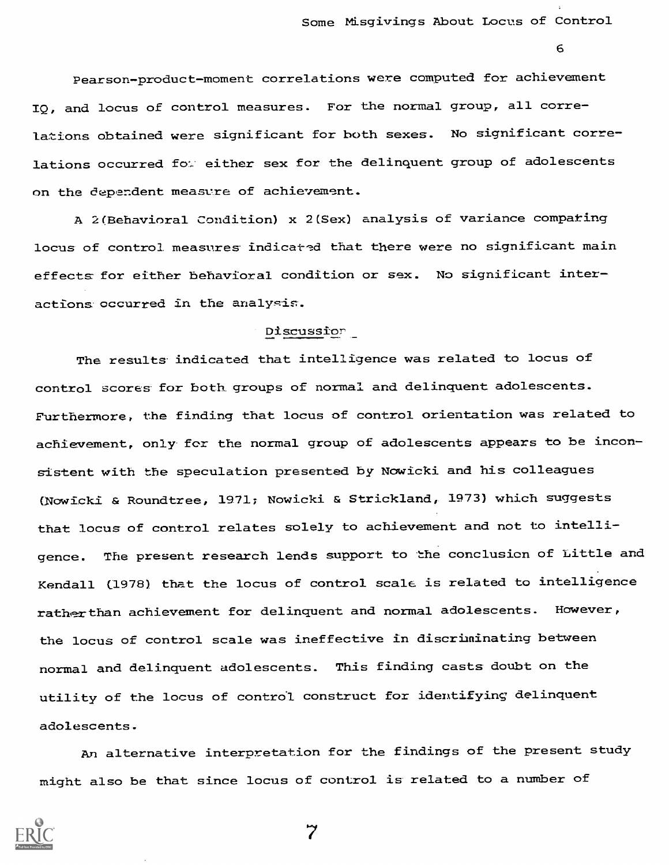Pearson-product-moment correlations were computed for achievement IQ, and locus of control measures. For the normal group, all correlations obtained were significant for both sexes. No significant correlations occurred for either sex for the delinquent group of adolescents on the dependent measure of achievement.

A 2(Behavioral Condition) x 2(Sex) analysis of variance compating locus of control measures indicated that there were no significant main effects for either behavioral condition or sex. No significant interactions occurred in the analysis.

## Discussior

The results indicated that intelligence was related to locus of control scores for both groups of normal and delinquent adolescents. Furthermore, the finding that locus of control orientation was related to achievement, only for the normal group of adolescents appears to be inconsistent with the speculation presented by Nowicki and his colleagues (Nowicki & Roundtree, 1971; Nowicki & Strickland, 1973) which suggests that locus of control relates solely to achievement and not to intelligence. The present research lends support to the conclusion of Little and Kendall (1978) that the locus of control scale is related to intelligence rather than achievement for delinquent and normal adolescents. However, the locus of control scale was ineffective in discriminating between normal and delinquent adolescents. This finding casts doubt on the utility of the locus of control construct for identifying delinquent adolescents.

An alternative interpretation for the findings of the present study might also be that since locus of control is related to a number of

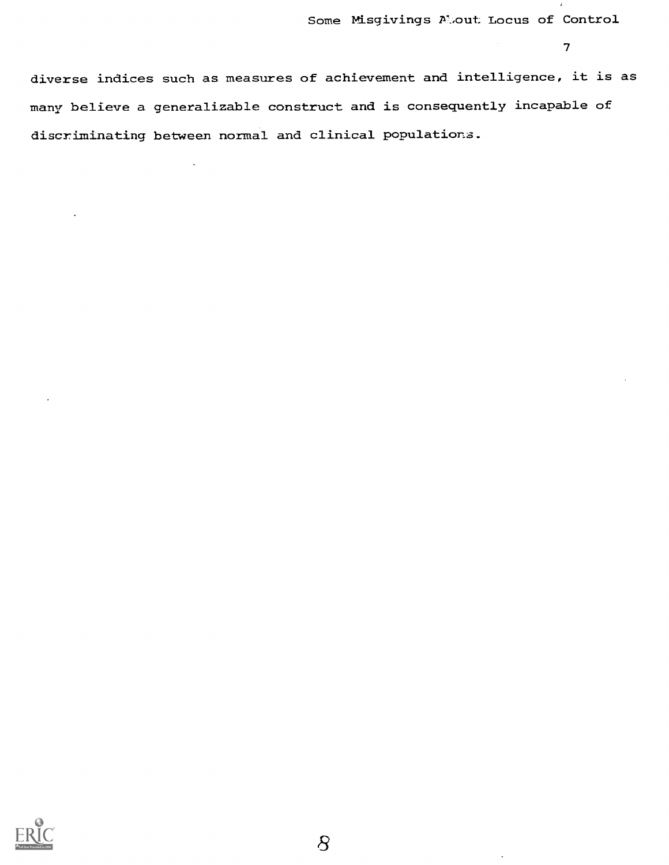diverse indices such as measures of achievement and intelligence, it is as many believe a generalizable construct and is consequently incapable of discriminating between normal and clinical populations.

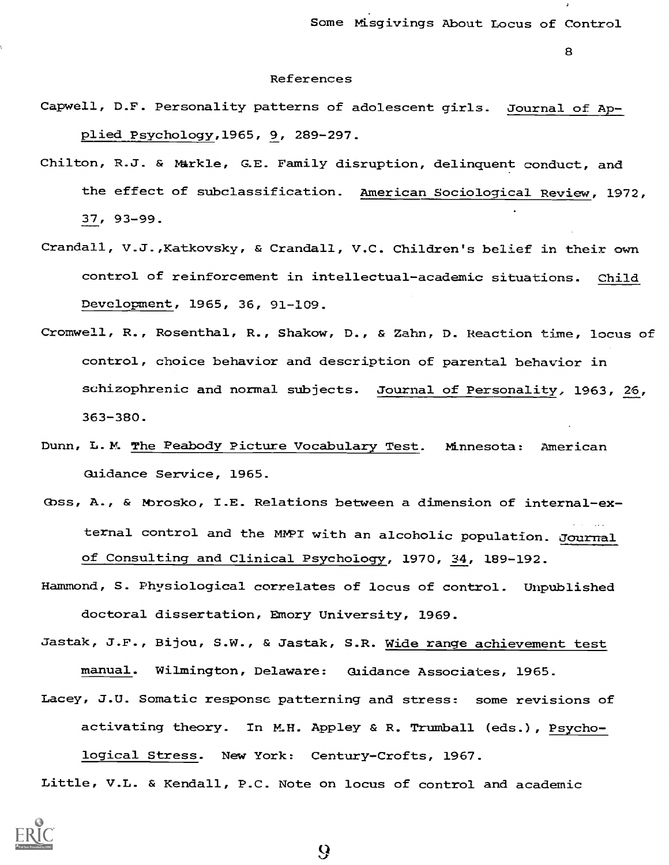#### References

- Capwell, D.F. Personality patterns of adolescent girls. Journal of Applied Psychology,1965, 9, 289-297.
- Chilton, R.J. & Markle, G.E. Family disruption, delinquent conduct, and the effect of subclassification. American Sociological Review, 1972, 37, 93-99.
- Crandall, V.J.,Katkovsky, & Crandall, V.C. Children's belief in their own control of reinforcement in intellectual-academic situations. Child Development, 1965, 36, 91-109.
- Cromwell, R., Rosenthal, R., Shakow, D., & Zahn, D. Reaction time, locus of control, choice behavior and description of parental behavior in schizophrenic and normal subjects. Journal of Personality, 1963, 26, 363-380.
- Dunn, L.M. The Peabody Picture Vocabulary Test. Minnesota: American Guidance Service, 1965.
- Goss, A., & Morosko, I.E. Relations between a dimension of internal-external control and the MVPI with an alcoholic population. Journal of Consulting and Clinical Psychology, 1970, 34, 189-192.
- Hammond, S. Physiological correlates of locus of control. Unpublished doctoral dissertation, Emory University, 1969.

Jastak, J.F., Bijou, S.W., & Jastak, S.R. Wide range achievement test manual. Wilmington, Delaware: Gaidance Associates, 1965.

Lacey, J.U. Somatic response patterning and stress: some revisions of activating theory. In M.H. Appley & R. Trumball (eds.), Psychological Stress. New York: Century-Crofts, 1967.

Little, V.L. & Kendall, P.C. Note on locus of control and academic



 $\boldsymbol{\Omega}$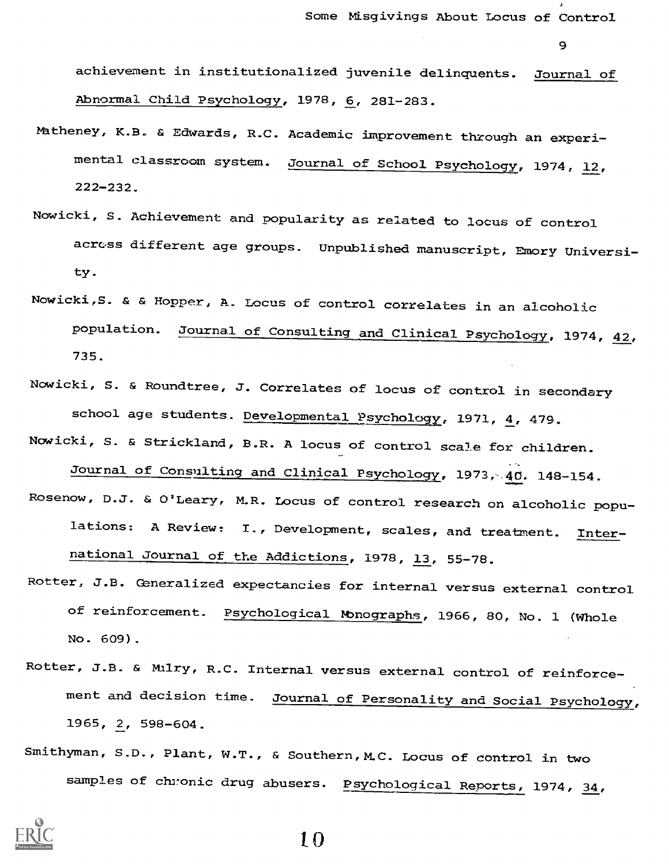Some Misgivings About Locus of Control

9

achievement in institutionalized juvenile delinquents. Journal of Abnormal Child Psychology, 1978, 6, 281-283.

- Natheney, K.B. & Edwards, R.C. Academic improvement through an experimental classroom system. Journal of School Psychology, 1974, 12, 222-232.
- Nowicki, S. Achievement and popularity as related to locus of control across different age groups. Unpublished manuscript, Emory University.
- Nowicki,S. & & Hopper, A. Locus of control correlates in an alcoholic population. Journal of Consulting and Clinical Psychology, 1974, 42, 735.
- Nowicki, S. & Roundtree, J. Correlates of locus of control in secondary school age students. Developmental Psychology, 1971, 4, 479.
- Nowicki, S. & Strickland, B.R. A locus of control scale for children.

Journal of Consulting and Clinical Psychology, 1973, 40. 148-154.

- Rosenow, D.J. & O'Leary, M.R. Locus of control research on alcoholic populations: A Review: I., Development, scales, and treatment. International Journal of the Addictions, 1978, 13, 55-78.
- Rotter, J.B. Generalized expectancies for internal versus external control of reinforcement. Psychological Monographs, 1966, 80, No. 1 (Whole No. 609).
- Rotter, J.B. & Milry, R.C. Internal versus external control of reinforcement and decision time. Journal of Personality and Social Psychology, 1965, 2, 598-604.
- Smithyman, S.D., Plant, W.T., & Southern, M.C. Locus of control in two samples of chronic drug abusers. Psychological Reports, 1974, 34,

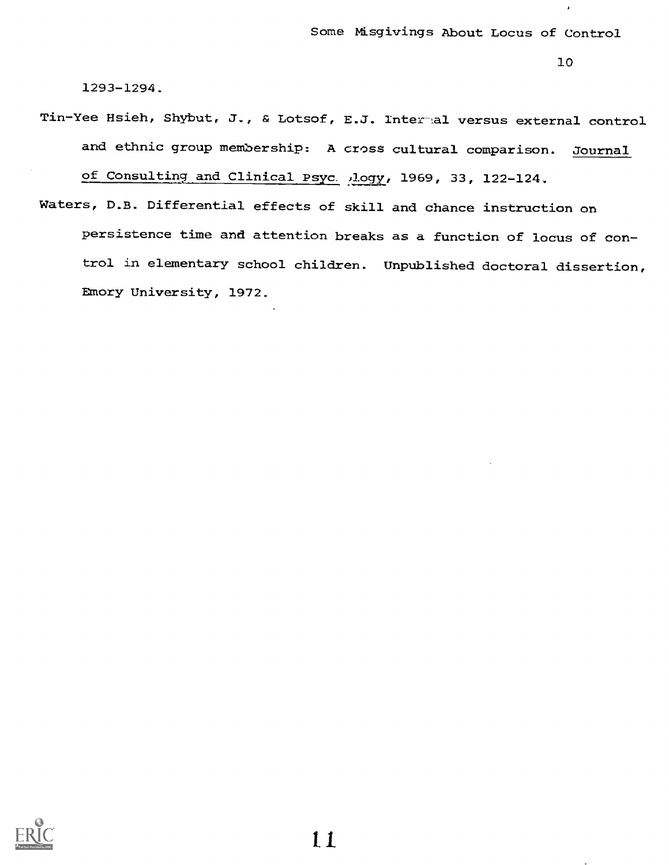$\lambda$ 

1293-1294.

- Tin-Yee Hsieh, Shybut, J., & Lotsof, E.J. Intertal versus external control and ethnic group membership: A cross cultural comparison. Journal of Consulting and Clinical Psyc. ,logy, 1969, 33, 122-124.
- Waters, D.B. Differential effects of skill and chance instruction on persistence time and attention breaks as a function of locus of control in elementary school children. Unpublished doctoral dissertion, Emory University, 1972.

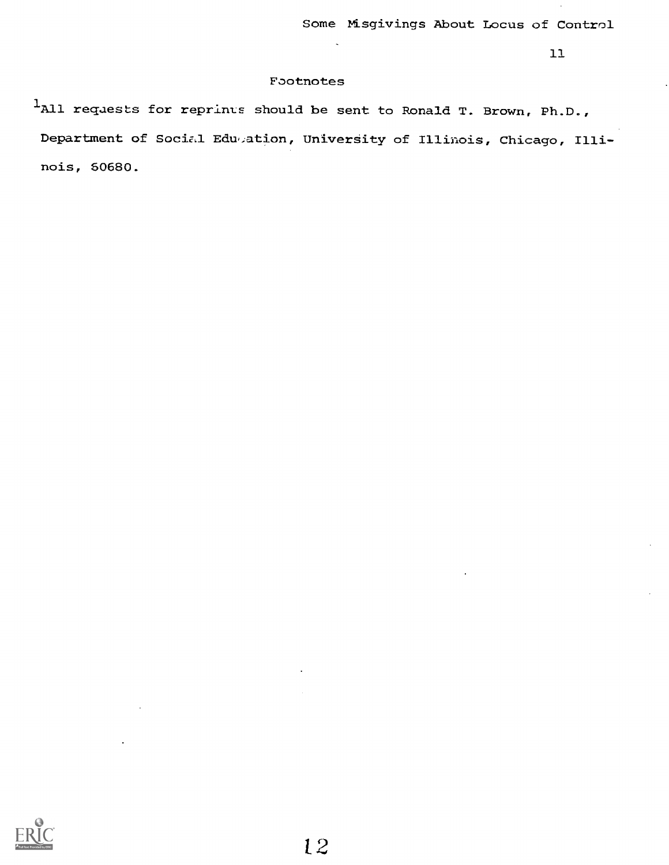#### Footnotes

<sup>1</sup>All requests for reprints should be sent to Ronald T. Brown, Ph.D., Department of Social Edu,ation, University of Illinois, Chicago, Illinois, 60680.